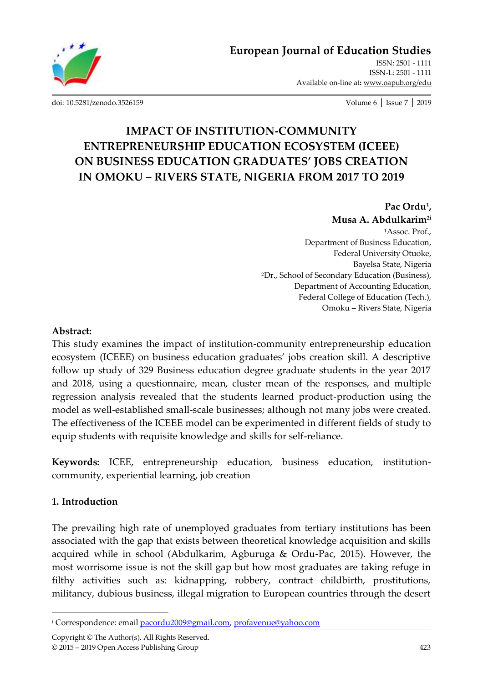

[ISSN: 2501 -](http://oapub.org/edu/index.php/ejes) 1111 [ISSN-L: 2501 -](http://oapub.org/edu/index.php/ejes) 1111 Available on-line at**:** [www.oapub.org/edu](http://www.oapub.org/edu)

[doi: 10.5281/zenodo.3526159](http://dx.doi.org/10.5281/zenodo.3526159) Volume 6 │ Issue 7 │ 2019

# **IMPACT OF INSTITUTION-COMMUNITY ENTREPRENEURSHIP EDUCATION ECOSYSTEM (ICEEE) ON BUSINESS EDUCATION GRADUATES' JOBS CREATION IN OMOKU – RIVERS STATE, NIGERIA FROM 2017 TO 2019**

#### **Pac Ordu<sup>1</sup> , Musa A. Abdulkarim2i**

<sup>1</sup>Assoc. Prof., Department of Business Education, Federal University Otuoke, Bayelsa State, Nigeria <sup>2</sup>Dr., School of Secondary Education (Business), Department of Accounting Education, Federal College of Education (Tech.), Omoku – Rivers State, Nigeria

#### **Abstract:**

This study examines the impact of institution-community entrepreneurship education ecosystem (ICEEE) on business education graduates' jobs creation skill. A descriptive follow up study of 329 Business education degree graduate students in the year 2017 and 2018, using a questionnaire, mean, cluster mean of the responses, and multiple regression analysis revealed that the students learned product-production using the model as well-established small-scale businesses; although not many jobs were created. The effectiveness of the ICEEE model can be experimented in different fields of study to equip students with requisite knowledge and skills for self-reliance.

**Keywords:** ICEE, entrepreneurship education, business education, institutioncommunity, experiential learning, job creation

### **1. Introduction**

 $\overline{a}$ 

The prevailing high rate of unemployed graduates from tertiary institutions has been associated with the gap that exists between theoretical knowledge acquisition and skills acquired while in school (Abdulkarim, Agburuga & Ordu-Pac, 2015). However, the most worrisome issue is not the skill gap but how most graduates are taking refuge in filthy activities such as: kidnapping, robbery, contract childbirth, prostitutions, militancy, dubious business, illegal migration to European countries through the desert

Copyright © The Author(s). All Rights Reserved. © 2015 – 2019 Open Access Publishing Group 423

<sup>&</sup>lt;sup>i</sup> Correspondence: email **pacordu2009@gmail.com**, [profavenue@yahoo.com](mailto:profavenue@yahoo.com)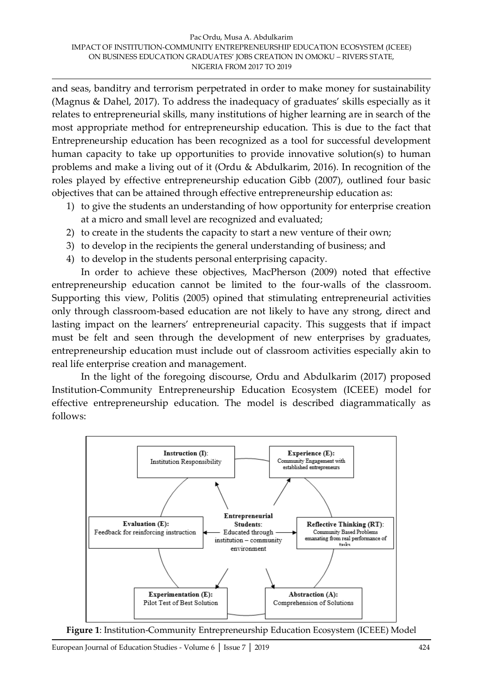and seas, banditry and terrorism perpetrated in order to make money for sustainability (Magnus & Dahel, 2017). To address the inadequacy of graduates' skills especially as it relates to entrepreneurial skills, many institutions of higher learning are in search of the most appropriate method for entrepreneurship education. This is due to the fact that Entrepreneurship education has been recognized as a tool for successful development human capacity to take up opportunities to provide innovative solution(s) to human problems and make a living out of it (Ordu & Abdulkarim, 2016). In recognition of the roles played by effective entrepreneurship education Gibb (2007), outlined four basic objectives that can be attained through effective entrepreneurship education as:

- 1) to give the students an understanding of how opportunity for enterprise creation at a micro and small level are recognized and evaluated;
- 2) to create in the students the capacity to start a new venture of their own;
- 3) to develop in the recipients the general understanding of business; and
- 4) to develop in the students personal enterprising capacity.

In order to achieve these objectives, MacPherson (2009) noted that effective entrepreneurship education cannot be limited to the four-walls of the classroom. Supporting this view, Politis (2005) opined that stimulating entrepreneurial activities only through classroom-based education are not likely to have any strong, direct and lasting impact on the learners' entrepreneurial capacity. This suggests that if impact must be felt and seen through the development of new enterprises by graduates, entrepreneurship education must include out of classroom activities especially akin to real life enterprise creation and management.

In the light of the foregoing discourse, Ordu and Abdulkarim (2017) proposed Institution-Community Entrepreneurship Education Ecosystem (ICEEE) model for effective entrepreneurship education. The model is described diagrammatically as follows:



**Figure 1**: Institution-Community Entrepreneurship Education Ecosystem (ICEEE) Model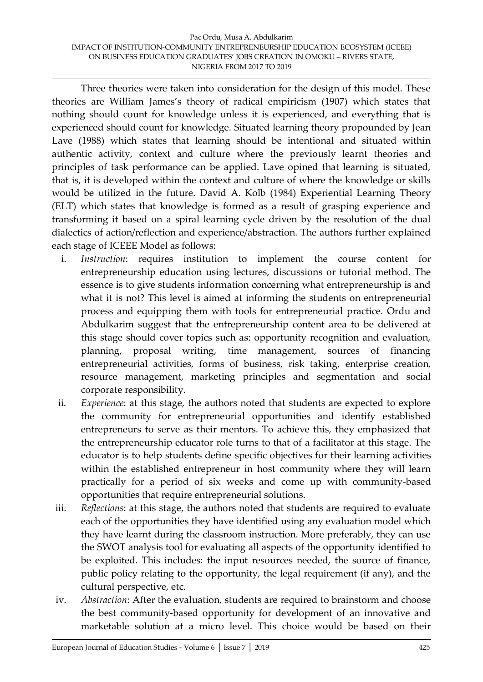Three theories were taken into consideration for the design of this model. These theories are William James's theory of radical empiricism (1907) which states that nothing should count for knowledge unless it is experienced, and everything that is experienced should count for knowledge. Situated learning theory propounded by Jean Lave (1988) which states that learning should be intentional and situated within authentic activity, context and culture where the previously learnt theories and principles of task performance can be applied. Lave opined that learning is situated, that is, it is developed within the context and culture of where the knowledge or skills would be utilized in the future. David A. Kolb (1984) Experiential Learning Theory (ELT) which states that knowledge is formed as a result of grasping experience and transforming it based on a spiral learning cycle driven by the resolution of the dual dialectics of action/reflection and experience/abstraction. The authors further explained each stage of ICEEE Model as follows:

- i. *Instruction*: requires institution to implement the course content for entrepreneurship education using lectures, discussions or tutorial method. The essence is to give students information concerning what entrepreneurship is and what it is not? This level is aimed at informing the students on entrepreneurial process and equipping them with tools for entrepreneurial practice. Ordu and Abdulkarim suggest that the entrepreneurship content area to be delivered at this stage should cover topics such as: opportunity recognition and evaluation, planning, proposal writing, time management, sources of financing entrepreneurial activities, forms of business, risk taking, enterprise creation, resource management, marketing principles and segmentation and social corporate responsibility.
- ii. *Experience*: at this stage, the authors noted that students are expected to explore the community for entrepreneurial opportunities and identify established entrepreneurs to serve as their mentors. To achieve this, they emphasized that the entrepreneurship educator role turns to that of a facilitator at this stage. The educator is to help students define specific objectives for their learning activities within the established entrepreneur in host community where they will learn practically for a period of six weeks and come up with community-based opportunities that require entrepreneurial solutions.
- iii. *Reflections*: at this stage, the authors noted that students are required to evaluate each of the opportunities they have identified using any evaluation model which they have learnt during the classroom instruction. More preferably, they can use the SWOT analysis tool for evaluating all aspects of the opportunity identified to be exploited. This includes: the input resources needed, the source of finance, public policy relating to the opportunity, the legal requirement (if any), and the cultural perspective, etc.
- iv. *Abstraction*: After the evaluation, students are required to brainstorm and choose the best community-based opportunity for development of an innovative and marketable solution at a micro level. This choice would be based on their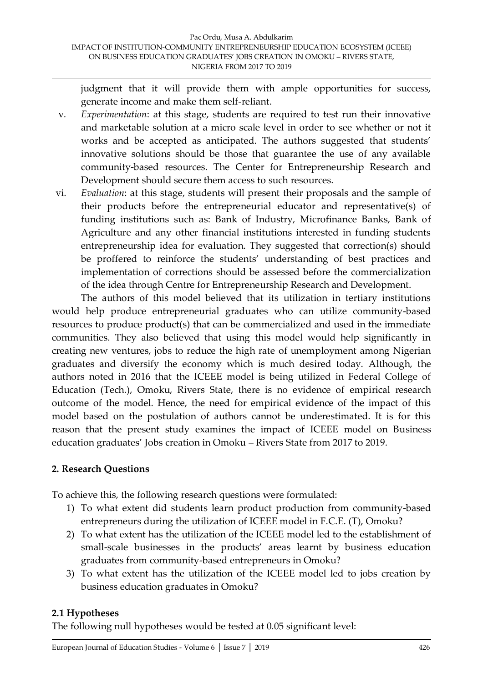judgment that it will provide them with ample opportunities for success, generate income and make them self-reliant.

- v. *Experimentation*: at this stage, students are required to test run their innovative and marketable solution at a micro scale level in order to see whether or not it works and be accepted as anticipated. The authors suggested that students' innovative solutions should be those that guarantee the use of any available community-based resources. The Center for Entrepreneurship Research and Development should secure them access to such resources.
- vi. *Evaluation*: at this stage, students will present their proposals and the sample of their products before the entrepreneurial educator and representative(s) of funding institutions such as: Bank of Industry, Microfinance Banks, Bank of Agriculture and any other financial institutions interested in funding students entrepreneurship idea for evaluation. They suggested that correction(s) should be proffered to reinforce the students' understanding of best practices and implementation of corrections should be assessed before the commercialization of the idea through Centre for Entrepreneurship Research and Development.

The authors of this model believed that its utilization in tertiary institutions would help produce entrepreneurial graduates who can utilize community-based resources to produce product(s) that can be commercialized and used in the immediate communities. They also believed that using this model would help significantly in creating new ventures, jobs to reduce the high rate of unemployment among Nigerian graduates and diversify the economy which is much desired today. Although, the authors noted in 2016 that the ICEEE model is being utilized in Federal College of Education (Tech.), Omoku, Rivers State, there is no evidence of empirical research outcome of the model. Hence, the need for empirical evidence of the impact of this model based on the postulation of authors cannot be underestimated. It is for this reason that the present study examines the impact of ICEEE model on Business education graduates' Jobs creation in Omoku – Rivers State from 2017 to 2019.

### **2. Research Questions**

To achieve this, the following research questions were formulated:

- 1) To what extent did students learn product production from community-based entrepreneurs during the utilization of ICEEE model in F.C.E. (T), Omoku?
- 2) To what extent has the utilization of the ICEEE model led to the establishment of small-scale businesses in the products' areas learnt by business education graduates from community-based entrepreneurs in Omoku?
- 3) To what extent has the utilization of the ICEEE model led to jobs creation by business education graduates in Omoku?

# **2.1 Hypotheses**

The following null hypotheses would be tested at 0.05 significant level: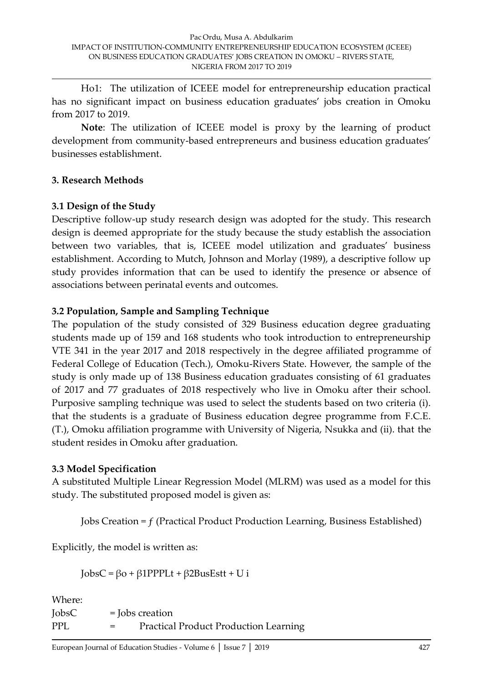Ho1: The utilization of ICEEE model for entrepreneurship education practical has no significant impact on business education graduates' jobs creation in Omoku from 2017 to 2019.

**Note**: The utilization of ICEEE model is proxy by the learning of product development from community-based entrepreneurs and business education graduates' businesses establishment.

### **3. Research Methods**

# **3.1 Design of the Study**

Descriptive follow-up study research design was adopted for the study. This research design is deemed appropriate for the study because the study establish the association between two variables, that is, ICEEE model utilization and graduates' business establishment. According to Mutch, Johnson and Morlay (1989), a descriptive follow up study provides information that can be used to identify the presence or absence of associations between perinatal events and outcomes.

# **3.2 Population, Sample and Sampling Technique**

The population of the study consisted of 329 Business education degree graduating students made up of 159 and 168 students who took introduction to entrepreneurship VTE 341 in the year 2017 and 2018 respectively in the degree affiliated programme of Federal College of Education (Tech.), Omoku-Rivers State. However, the sample of the study is only made up of 138 Business education graduates consisting of 61 graduates of 2017 and 77 graduates of 2018 respectively who live in Omoku after their school. Purposive sampling technique was used to select the students based on two criteria (i). that the students is a graduate of Business education degree programme from F.C.E. (T.), Omoku affiliation programme with University of Nigeria, Nsukka and (ii). that the student resides in Omoku after graduation.

### **3.3 Model Specification**

A substituted Multiple Linear Regression Model (MLRM) was used as a model for this study. The substituted proposed model is given as:

Jobs Creation = ƒ (Practical Product Production Learning, Business Established)

Explicitly, the model is written as:

 $JobsC = \beta o + \beta 1 PPPLt + \beta 2 BusEstt + U i$ 

Where:

 $\text{JobsC}$  =  $\text{Jobs creation}$ PPL = Practical Product Production Learning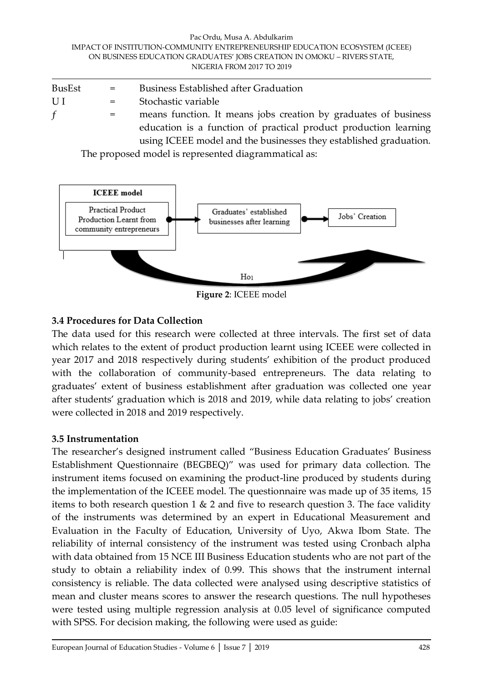#### Pac Ordu, Musa A. Abdulkarim IMPACT OF INSTITUTION-COMMUNITY ENTREPRENEURSHIP EDUCATION ECOSYSTEM (ICEEE) ON BUSINESS EDUCATION GRADUATES' JOBS CREATION IN OMOKU – RIVERS STATE, NIGERIA FROM 2017 TO 2019

| BusEst       | $=$ | <b>Business Established after Graduation</b>                      |
|--------------|-----|-------------------------------------------------------------------|
| UI           | $=$ | Stochastic variable                                               |
| $\mathbf{f}$ | $=$ | means function. It means jobs creation by graduates of business   |
|              |     | education is a function of practical product production learning  |
|              |     | using ICEEE model and the businesses they established graduation. |

The proposed model is represented diagrammatical as:



**Figure 2**: ICEEE model

# **3.4 Procedures for Data Collection**

The data used for this research were collected at three intervals. The first set of data which relates to the extent of product production learnt using ICEEE were collected in year 2017 and 2018 respectively during students' exhibition of the product produced with the collaboration of community-based entrepreneurs. The data relating to graduates' extent of business establishment after graduation was collected one year after students' graduation which is 2018 and 2019, while data relating to jobs' creation were collected in 2018 and 2019 respectively.

### **3.5 Instrumentation**

The researcher's designed instrument called "Business Education Graduates' Business Establishment Questionnaire (BEGBEQ)" was used for primary data collection. The instrument items focused on examining the product-line produced by students during the implementation of the ICEEE model. The questionnaire was made up of 35 items, 15 items to both research question 1  $\&$  2 and five to research question 3. The face validity of the instruments was determined by an expert in Educational Measurement and Evaluation in the Faculty of Education, University of Uyo, Akwa Ibom State. The reliability of internal consistency of the instrument was tested using Cronbach alpha with data obtained from 15 NCE III Business Education students who are not part of the study to obtain a reliability index of 0.99. This shows that the instrument internal consistency is reliable. The data collected were analysed using descriptive statistics of mean and cluster means scores to answer the research questions. The null hypotheses were tested using multiple regression analysis at 0.05 level of significance computed with SPSS. For decision making, the following were used as guide: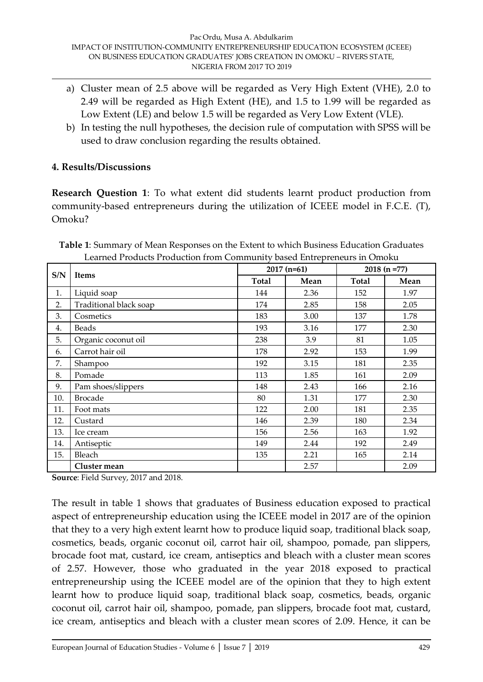- a) Cluster mean of 2.5 above will be regarded as Very High Extent (VHE), 2.0 to 2.49 will be regarded as High Extent (HE), and 1.5 to 1.99 will be regarded as Low Extent (LE) and below 1.5 will be regarded as Very Low Extent (VLE).
- b) In testing the null hypotheses, the decision rule of computation with SPSS will be used to draw conclusion regarding the results obtained.

### **4. Results/Discussions**

**Research Question 1:** To what extent did students learnt product production from community-based entrepreneurs during the utilization of ICEEE model in F.C.E. (T), Omoku?

**Table 1**: Summary of Mean Responses on the Extent to which Business Education Graduates Learned Products Production from Community based Entrepreneurs in Omoku

| S/N<br><b>Items</b><br>Liquid soap<br>1.<br>Traditional black soap<br>2.<br>3.<br>Cosmetics<br>Beads<br>4.<br>5.<br>Organic coconut oil<br>Carrot hair oil<br>6.<br>7.<br>Shampoo<br>8.<br>Pomade<br>9.<br>Pam shoes/slippers<br>10.<br><b>Brocade</b><br>11.<br>Foot mats<br>12.<br>Custard<br>13.<br>Ice cream<br>14.<br>Antiseptic |              |              | $2017(n=61)$ | $2018(n=77)$ |      |  |
|---------------------------------------------------------------------------------------------------------------------------------------------------------------------------------------------------------------------------------------------------------------------------------------------------------------------------------------|--------------|--------------|--------------|--------------|------|--|
|                                                                                                                                                                                                                                                                                                                                       |              | <b>Total</b> | Mean         | <b>Total</b> | Mean |  |
|                                                                                                                                                                                                                                                                                                                                       |              | 144          | 2.36         | 152          | 1.97 |  |
|                                                                                                                                                                                                                                                                                                                                       |              | 174          | 2.85         | 158          | 2.05 |  |
|                                                                                                                                                                                                                                                                                                                                       |              | 183          | 3.00         | 137          | 1.78 |  |
|                                                                                                                                                                                                                                                                                                                                       |              | 193          | 3.16         | 177          | 2.30 |  |
|                                                                                                                                                                                                                                                                                                                                       |              | 238          | 3.9          | 81           | 1.05 |  |
|                                                                                                                                                                                                                                                                                                                                       |              | 178          | 2.92         | 153          | 1.99 |  |
|                                                                                                                                                                                                                                                                                                                                       |              | 192          | 3.15         | 181          | 2.35 |  |
|                                                                                                                                                                                                                                                                                                                                       |              | 113          | 1.85         | 161          | 2.09 |  |
|                                                                                                                                                                                                                                                                                                                                       |              | 148          | 2.43         | 166          | 2.16 |  |
|                                                                                                                                                                                                                                                                                                                                       |              | 80           | 1.31         | 177          | 2.30 |  |
|                                                                                                                                                                                                                                                                                                                                       |              | 122          | 2.00         | 181          | 2.35 |  |
|                                                                                                                                                                                                                                                                                                                                       |              | 146          | 2.39         | 180          | 2.34 |  |
|                                                                                                                                                                                                                                                                                                                                       |              | 156          | 2.56         | 163          | 1.92 |  |
|                                                                                                                                                                                                                                                                                                                                       |              | 149          | 2.44         | 192          | 2.49 |  |
| 15.                                                                                                                                                                                                                                                                                                                                   | Bleach       | 135          | 2.21         | 165          | 2.14 |  |
|                                                                                                                                                                                                                                                                                                                                       | Cluster mean |              | 2.57         |              | 2.09 |  |

**Source**: Field Survey, 2017 and 2018.

The result in table 1 shows that graduates of Business education exposed to practical aspect of entrepreneurship education using the ICEEE model in 2017 are of the opinion that they to a very high extent learnt how to produce liquid soap, traditional black soap, cosmetics, beads, organic coconut oil, carrot hair oil, shampoo, pomade, pan slippers, brocade foot mat, custard, ice cream, antiseptics and bleach with a cluster mean scores of 2.57. However, those who graduated in the year 2018 exposed to practical entrepreneurship using the ICEEE model are of the opinion that they to high extent learnt how to produce liquid soap, traditional black soap, cosmetics, beads, organic coconut oil, carrot hair oil, shampoo, pomade, pan slippers, brocade foot mat, custard, ice cream, antiseptics and bleach with a cluster mean scores of 2.09. Hence, it can be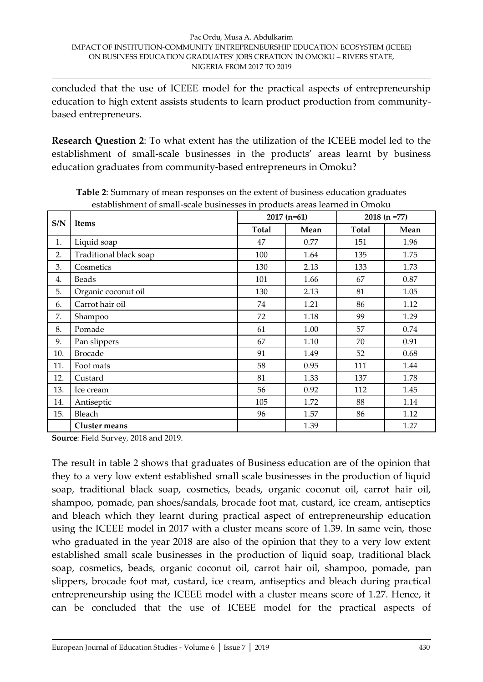concluded that the use of ICEEE model for the practical aspects of entrepreneurship education to high extent assists students to learn product production from communitybased entrepreneurs.

**Research Question 2**: To what extent has the utilization of the ICEEE model led to the establishment of small-scale businesses in the products' areas learnt by business education graduates from community-based entrepreneurs in Omoku?

| $2018(n=77)$<br>$2017(n=61)$<br>S/N<br><b>Items</b><br><b>Total</b><br><b>Total</b><br>Mean<br>Liquid soap<br>1.<br>47<br>0.77<br>151<br>Traditional black soap<br>2.<br>100<br>135<br>1.64<br>3.<br>130<br>2.13<br>133<br>Cosmetics<br>101<br>67<br>Beads<br>1.66<br>4.<br>5.<br>Organic coconut oil<br>2.13<br>81<br>130<br>Carrot hair oil<br>1.21<br>86<br>74<br>6.<br>99<br>7.<br>72<br>1.18<br>Shampoo<br>8.<br>Pomade<br>57<br>61<br>1.00<br>9.<br>Pan slippers<br>67<br>1.10<br>70<br>10.<br><b>Brocade</b><br>91<br>1.49<br>52<br>11.<br>58<br>0.95<br>111<br>Foot mats<br>12.<br>81<br>1.33<br>137<br>Custard<br>13.<br>0.92<br>112<br>56<br>Ice cream<br>Antiseptic<br>105<br>1.72<br>88<br>14.<br>15.<br>Bleach<br>96<br>1.57<br>86 |                      |      |  |      |  |
|-------------------------------------------------------------------------------------------------------------------------------------------------------------------------------------------------------------------------------------------------------------------------------------------------------------------------------------------------------------------------------------------------------------------------------------------------------------------------------------------------------------------------------------------------------------------------------------------------------------------------------------------------------------------------------------------------------------------------------------------------|----------------------|------|--|------|--|
|                                                                                                                                                                                                                                                                                                                                                                                                                                                                                                                                                                                                                                                                                                                                                 | Mean                 |      |  |      |  |
|                                                                                                                                                                                                                                                                                                                                                                                                                                                                                                                                                                                                                                                                                                                                                 |                      |      |  | 1.96 |  |
|                                                                                                                                                                                                                                                                                                                                                                                                                                                                                                                                                                                                                                                                                                                                                 |                      |      |  | 1.75 |  |
|                                                                                                                                                                                                                                                                                                                                                                                                                                                                                                                                                                                                                                                                                                                                                 |                      |      |  | 1.73 |  |
|                                                                                                                                                                                                                                                                                                                                                                                                                                                                                                                                                                                                                                                                                                                                                 |                      |      |  | 0.87 |  |
|                                                                                                                                                                                                                                                                                                                                                                                                                                                                                                                                                                                                                                                                                                                                                 |                      |      |  | 1.05 |  |
|                                                                                                                                                                                                                                                                                                                                                                                                                                                                                                                                                                                                                                                                                                                                                 |                      |      |  | 1.12 |  |
|                                                                                                                                                                                                                                                                                                                                                                                                                                                                                                                                                                                                                                                                                                                                                 |                      |      |  | 1.29 |  |
|                                                                                                                                                                                                                                                                                                                                                                                                                                                                                                                                                                                                                                                                                                                                                 |                      |      |  | 0.74 |  |
|                                                                                                                                                                                                                                                                                                                                                                                                                                                                                                                                                                                                                                                                                                                                                 |                      |      |  | 0.91 |  |
|                                                                                                                                                                                                                                                                                                                                                                                                                                                                                                                                                                                                                                                                                                                                                 |                      |      |  | 0.68 |  |
|                                                                                                                                                                                                                                                                                                                                                                                                                                                                                                                                                                                                                                                                                                                                                 |                      |      |  | 1.44 |  |
|                                                                                                                                                                                                                                                                                                                                                                                                                                                                                                                                                                                                                                                                                                                                                 |                      |      |  | 1.78 |  |
|                                                                                                                                                                                                                                                                                                                                                                                                                                                                                                                                                                                                                                                                                                                                                 |                      |      |  | 1.45 |  |
|                                                                                                                                                                                                                                                                                                                                                                                                                                                                                                                                                                                                                                                                                                                                                 |                      |      |  | 1.14 |  |
|                                                                                                                                                                                                                                                                                                                                                                                                                                                                                                                                                                                                                                                                                                                                                 |                      |      |  | 1.12 |  |
|                                                                                                                                                                                                                                                                                                                                                                                                                                                                                                                                                                                                                                                                                                                                                 | <b>Cluster means</b> | 1.39 |  | 1.27 |  |

**Table 2**: Summary of mean responses on the extent of business education graduates establishment of small-scale businesses in products areas learned in Omoku

**Source**: Field Survey, 2018 and 2019.

The result in table 2 shows that graduates of Business education are of the opinion that they to a very low extent established small scale businesses in the production of liquid soap, traditional black soap, cosmetics, beads, organic coconut oil, carrot hair oil, shampoo, pomade, pan shoes/sandals, brocade foot mat, custard, ice cream, antiseptics and bleach which they learnt during practical aspect of entrepreneurship education using the ICEEE model in 2017 with a cluster means score of 1.39. In same vein, those who graduated in the year 2018 are also of the opinion that they to a very low extent established small scale businesses in the production of liquid soap, traditional black soap, cosmetics, beads, organic coconut oil, carrot hair oil, shampoo, pomade, pan slippers, brocade foot mat, custard, ice cream, antiseptics and bleach during practical entrepreneurship using the ICEEE model with a cluster means score of 1.27. Hence, it can be concluded that the use of ICEEE model for the practical aspects of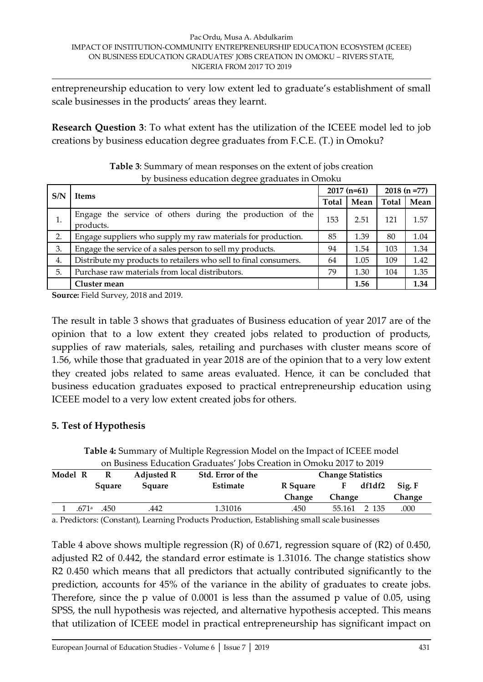entrepreneurship education to very low extent led to graduate's establishment of small scale businesses in the products' areas they learnt.

**Research Question 3**: To what extent has the utilization of the ICEEE model led to job creations by business education degree graduates from F.C.E. (T.) in Omoku?

| S/N | <b>Items</b>                                                           |     | $2017(n=61)$ |       | $2018(n=77)$ |  |
|-----|------------------------------------------------------------------------|-----|--------------|-------|--------------|--|
|     |                                                                        |     | Mean         | Total | Mean         |  |
| 1.  | Engage the service of others during the production of the<br>products. | 153 | 2.51         | 121   | 1.57         |  |
| 2.  | Engage suppliers who supply my raw materials for production.           | 85  | 1.39         | 80    | 1.04         |  |
| 3.  | Engage the service of a sales person to sell my products.              | 94  | 1.54         | 103   | 1.34         |  |
| 4.  | Distribute my products to retailers who sell to final consumers.       | 64  | 1.05         | 109   | 1.42         |  |
| 5.  | Purchase raw materials from local distributors.                        | 79  | 1.30         | 104   | 1.35         |  |
|     | Cluster mean                                                           |     | 1.56         |       | 1.34         |  |

| <b>Table 3:</b> Summary of mean responses on the extent of jobs creation |
|--------------------------------------------------------------------------|
| by business education degree graduates in Omoku                          |

**Source:** Field Survey, 2018 and 2019.

The result in table 3 shows that graduates of Business education of year 2017 are of the opinion that to a low extent they created jobs related to production of products, supplies of raw materials, sales, retailing and purchases with cluster means score of 1.56, while those that graduated in year 2018 are of the opinion that to a very low extent they created jobs related to same areas evaluated. Hence, it can be concluded that business education graduates exposed to practical entrepreneurship education using ICEEE model to a very low extent created jobs for others.

### **5. Test of Hypothesis**

| 1 R                                                                               |  | <b>Adiusted R</b> | Std. Error of the | <b>Change Statistics</b>                                             |  |  |
|-----------------------------------------------------------------------------------|--|-------------------|-------------------|----------------------------------------------------------------------|--|--|
|                                                                                   |  |                   |                   | on Business Education Graduates' Jobs Creation in Omoku 2017 to 2019 |  |  |
| <b>Table 4:</b> Summary of Multiple Regression Model on the Impact of ICEEE model |  |                   |                   |                                                                      |  |  |

| Model R | R                          | <b>Adjusted R</b> | Std. Error of the | <b>Change Statistics</b> |              |        |        |  |
|---------|----------------------------|-------------------|-------------------|--------------------------|--------------|--------|--------|--|
|         | Square                     | Square            | Estimate          | R Square                 |              | df1df2 | Sig. F |  |
|         |                            |                   |                   | <b>Change</b>            | Change       |        | Change |  |
|         | $.671$ <sup>a</sup> $.450$ | .442              | 1.31016           | .450                     | 55.161 2 135 |        | .000   |  |
|         |                            |                   |                   |                          |              |        |        |  |

a. Predictors: (Constant), Learning Products Production, Establishing small scale businesses

Table 4 above shows multiple regression (R) of 0.671, regression square of (R2) of 0.450, adjusted R2 of 0.442, the standard error estimate is 1.31016. The change statistics show R2 0.450 which means that all predictors that actually contributed significantly to the prediction, accounts for 45% of the variance in the ability of graduates to create jobs. Therefore, since the p value of 0.0001 is less than the assumed p value of 0.05, using SPSS, the null hypothesis was rejected, and alternative hypothesis accepted. This means that utilization of ICEEE model in practical entrepreneurship has significant impact on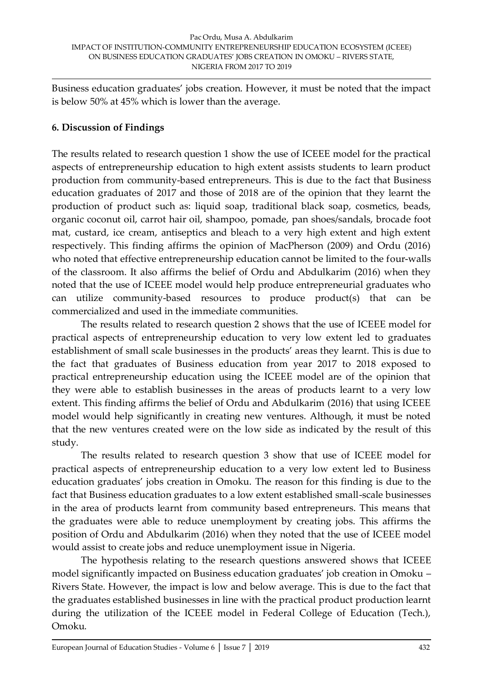Business education graduates' jobs creation. However, it must be noted that the impact is below 50% at 45% which is lower than the average.

# **6. Discussion of Findings**

The results related to research question 1 show the use of ICEEE model for the practical aspects of entrepreneurship education to high extent assists students to learn product production from community-based entrepreneurs. This is due to the fact that Business education graduates of 2017 and those of 2018 are of the opinion that they learnt the production of product such as: liquid soap, traditional black soap, cosmetics, beads, organic coconut oil, carrot hair oil, shampoo, pomade, pan shoes/sandals, brocade foot mat, custard, ice cream, antiseptics and bleach to a very high extent and high extent respectively. This finding affirms the opinion of MacPherson (2009) and Ordu (2016) who noted that effective entrepreneurship education cannot be limited to the four-walls of the classroom. It also affirms the belief of Ordu and Abdulkarim (2016) when they noted that the use of ICEEE model would help produce entrepreneurial graduates who can utilize community-based resources to produce product(s) that can be commercialized and used in the immediate communities.

The results related to research question 2 shows that the use of ICEEE model for practical aspects of entrepreneurship education to very low extent led to graduates establishment of small scale businesses in the products' areas they learnt. This is due to the fact that graduates of Business education from year 2017 to 2018 exposed to practical entrepreneurship education using the ICEEE model are of the opinion that they were able to establish businesses in the areas of products learnt to a very low extent. This finding affirms the belief of Ordu and Abdulkarim (2016) that using ICEEE model would help significantly in creating new ventures. Although, it must be noted that the new ventures created were on the low side as indicated by the result of this study.

The results related to research question 3 show that use of ICEEE model for practical aspects of entrepreneurship education to a very low extent led to Business education graduates' jobs creation in Omoku. The reason for this finding is due to the fact that Business education graduates to a low extent established small-scale businesses in the area of products learnt from community based entrepreneurs. This means that the graduates were able to reduce unemployment by creating jobs. This affirms the position of Ordu and Abdulkarim (2016) when they noted that the use of ICEEE model would assist to create jobs and reduce unemployment issue in Nigeria.

The hypothesis relating to the research questions answered shows that ICEEE model significantly impacted on Business education graduates' job creation in Omoku – Rivers State. However, the impact is low and below average. This is due to the fact that the graduates established businesses in line with the practical product production learnt during the utilization of the ICEEE model in Federal College of Education (Tech.), Omoku.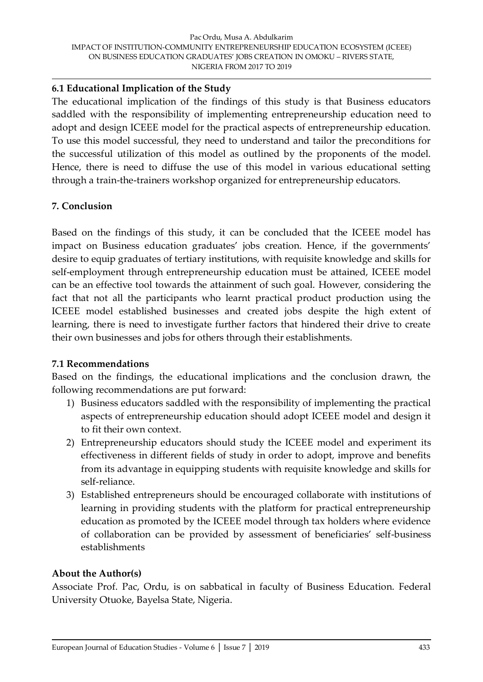# **6.1 Educational Implication of the Study**

The educational implication of the findings of this study is that Business educators saddled with the responsibility of implementing entrepreneurship education need to adopt and design ICEEE model for the practical aspects of entrepreneurship education. To use this model successful, they need to understand and tailor the preconditions for the successful utilization of this model as outlined by the proponents of the model. Hence, there is need to diffuse the use of this model in various educational setting through a train-the-trainers workshop organized for entrepreneurship educators.

# **7. Conclusion**

Based on the findings of this study, it can be concluded that the ICEEE model has impact on Business education graduates' jobs creation. Hence, if the governments' desire to equip graduates of tertiary institutions, with requisite knowledge and skills for self-employment through entrepreneurship education must be attained, ICEEE model can be an effective tool towards the attainment of such goal. However, considering the fact that not all the participants who learnt practical product production using the ICEEE model established businesses and created jobs despite the high extent of learning, there is need to investigate further factors that hindered their drive to create their own businesses and jobs for others through their establishments.

### **7.1 Recommendations**

Based on the findings, the educational implications and the conclusion drawn, the following recommendations are put forward:

- 1) Business educators saddled with the responsibility of implementing the practical aspects of entrepreneurship education should adopt ICEEE model and design it to fit their own context.
- 2) Entrepreneurship educators should study the ICEEE model and experiment its effectiveness in different fields of study in order to adopt, improve and benefits from its advantage in equipping students with requisite knowledge and skills for self-reliance.
- 3) Established entrepreneurs should be encouraged collaborate with institutions of learning in providing students with the platform for practical entrepreneurship education as promoted by the ICEEE model through tax holders where evidence of collaboration can be provided by assessment of beneficiaries' self-business establishments

### **About the Author(s)**

Associate Prof. Pac, Ordu, is on sabbatical in faculty of Business Education. Federal University Otuoke, Bayelsa State, Nigeria.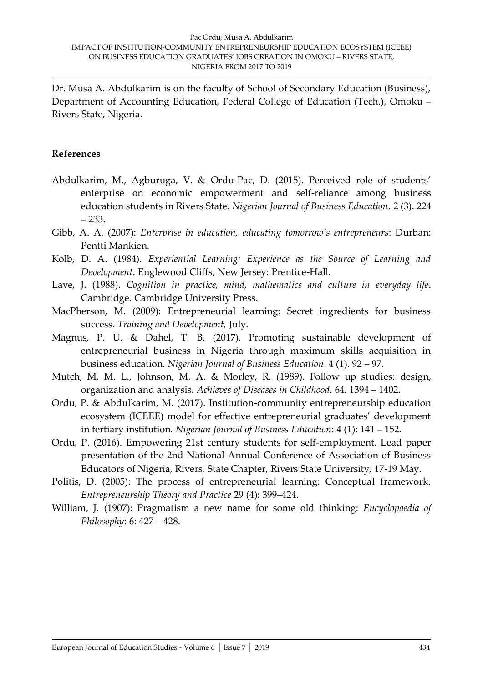Dr. Musa A. Abdulkarim is on the faculty of School of Secondary Education (Business), Department of Accounting Education, Federal College of Education (Tech.), Omoku – Rivers State, Nigeria.

#### **References**

- Abdulkarim, M., Agburuga, V. & Ordu-Pac, D. (2015). Perceived role of students' enterprise on economic empowerment and self-reliance among business education students in Rivers State. *Nigerian Journal of Business Education*. 2 (3). 224 – 233.
- Gibb, A. A. (2007): *Enterprise in education, educating tomorrow's entrepreneurs*: Durban: Pentti Mankien.
- Kolb, D. A. (1984). *Experiential Learning: Experience as the Source of Learning and Development*. Englewood Cliffs, New Jersey: Prentice-Hall.
- Lave, J. (1988). *Cognition in practice, mind, mathematics and culture in everyday life*. Cambridge. Cambridge University Press.
- MacPherson, M. (2009): Entrepreneurial learning: Secret ingredients for business success. *Training and Development,* July.
- Magnus, P. U. & Dahel, T. B. (2017). Promoting sustainable development of entrepreneurial business in Nigeria through maximum skills acquisition in business education. *Nigerian Journal of Business Education*. 4 (1). 92 – 97.
- Mutch, M. M. L., Johnson, M. A. & Morley, R. (1989). Follow up studies: design, organization and analysis. *Achieves of Diseases in Childhood*. 64. 1394 – 1402.
- Ordu, P. & Abdulkarim, M. (2017). Institution-community entrepreneurship education ecosystem (ICEEE) model for effective entrepreneurial graduates' development in tertiary institution. *Nigerian Journal of Business Education*: 4 (1): 141 – 152.
- Ordu, P. (2016). Empowering 21st century students for self-employment. Lead paper presentation of the 2nd National Annual Conference of Association of Business Educators of Nigeria, Rivers, State Chapter, Rivers State University, 17-19 May.
- Politis, D. (2005): The process of entrepreneurial learning: Conceptual framework. *Entrepreneurship Theory and Practice* 29 (4): 399–424.
- William, J. (1907): Pragmatism a new name for some old thinking: *Encyclopaedia of Philosophy*: 6: 427 – 428.